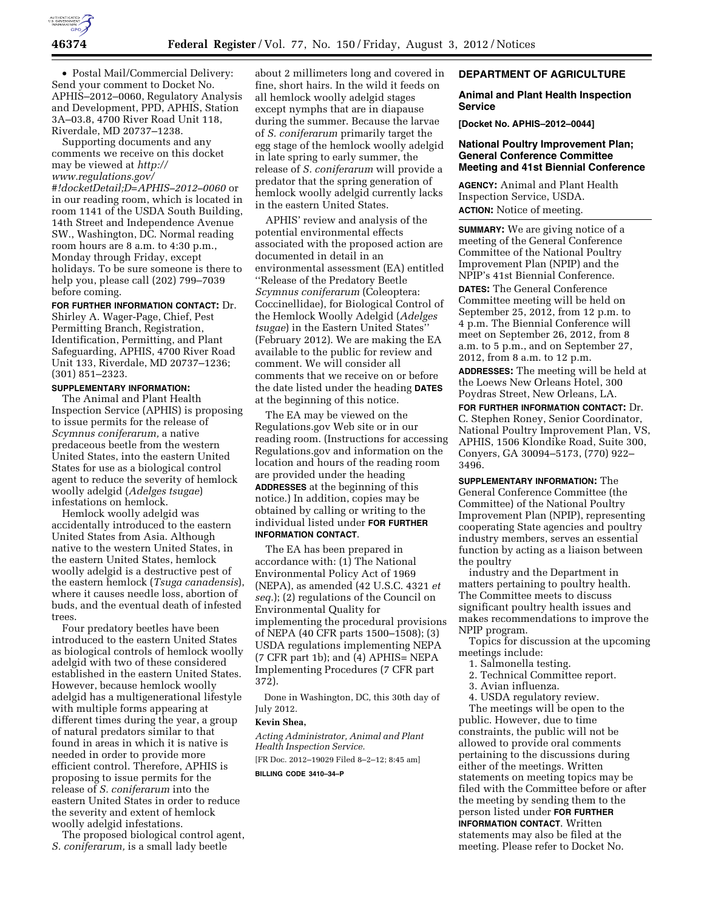

• Postal Mail/Commercial Delivery: Send your comment to Docket No. APHIS–2012–0060, Regulatory Analysis and Development, PPD, APHIS, Station 3A–03.8, 4700 River Road Unit 118, Riverdale, MD 20737–1238.

Supporting documents and any comments we receive on this docket may be viewed at *[http://](http://www.regulations.gov/#!docketDetail;D=APHIS-2012-0060)  [www.regulations.gov/](http://www.regulations.gov/#!docketDetail;D=APHIS-2012-0060) [#!docketDetail;D=APHIS–2012–0060](http://www.regulations.gov/#!docketDetail;D=APHIS-2012-0060)* or in our reading room, which is located in room 1141 of the USDA South Building, 14th Street and Independence Avenue SW., Washington, DC. Normal reading

room hours are 8 a.m. to 4:30 p.m., Monday through Friday, except holidays. To be sure someone is there to help you, please call (202) 799–7039 before coming.

**FOR FURTHER INFORMATION CONTACT:** Dr. Shirley A. Wager-Page, Chief, Pest Permitting Branch, Registration, Identification, Permitting, and Plant Safeguarding, APHIS, 4700 River Road Unit 133, Riverdale, MD 20737–1236; (301) 851–2323.

## **SUPPLEMENTARY INFORMATION:**

The Animal and Plant Health Inspection Service (APHIS) is proposing to issue permits for the release of *Scymnus coniferarum,* a native predaceous beetle from the western United States, into the eastern United States for use as a biological control agent to reduce the severity of hemlock woolly adelgid (*Adelges tsugae*) infestations on hemlock.

Hemlock woolly adelgid was accidentally introduced to the eastern United States from Asia. Although native to the western United States, in the eastern United States, hemlock woolly adelgid is a destructive pest of the eastern hemlock (*Tsuga canadensis*), where it causes needle loss, abortion of buds, and the eventual death of infested trees.

Four predatory beetles have been introduced to the eastern United States as biological controls of hemlock woolly adelgid with two of these considered established in the eastern United States. However, because hemlock woolly adelgid has a multigenerational lifestyle with multiple forms appearing at different times during the year, a group of natural predators similar to that found in areas in which it is native is needed in order to provide more efficient control. Therefore, APHIS is proposing to issue permits for the release of *S. coniferarum* into the eastern United States in order to reduce the severity and extent of hemlock woolly adelgid infestations.

The proposed biological control agent, *S. coniferarum,* is a small lady beetle

about 2 millimeters long and covered in fine, short hairs. In the wild it feeds on all hemlock woolly adelgid stages except nymphs that are in diapause during the summer. Because the larvae of *S. coniferarum* primarily target the egg stage of the hemlock woolly adelgid in late spring to early summer, the release of *S. coniferarum* will provide a predator that the spring generation of hemlock woolly adelgid currently lacks in the eastern United States.

APHIS' review and analysis of the potential environmental effects associated with the proposed action are documented in detail in an environmental assessment (EA) entitled ''Release of the Predatory Beetle *Scymnus coniferarum* (Coleoptera: Coccinellidae), for Biological Control of the Hemlock Woolly Adelgid (*Adelges tsugae*) in the Eastern United States'' (February 2012). We are making the EA available to the public for review and comment. We will consider all comments that we receive on or before the date listed under the heading **DATES** at the beginning of this notice.

The EA may be viewed on the Regulations.gov Web site or in our reading room. (Instructions for accessing Regulations.gov and information on the location and hours of the reading room are provided under the heading **ADDRESSES** at the beginning of this notice.) In addition, copies may be obtained by calling or writing to the individual listed under **FOR FURTHER INFORMATION CONTACT**.

The EA has been prepared in accordance with: (1) The National Environmental Policy Act of 1969 (NEPA), as amended (42 U.S.C. 4321 *et seq.*); (2) regulations of the Council on Environmental Quality for implementing the procedural provisions of NEPA (40 CFR parts 1500–1508); (3) USDA regulations implementing NEPA (7 CFR part 1b); and (4) APHIS= NEPA Implementing Procedures (7 CFR part 372).

Done in Washington, DC, this 30th day of July 2012.

#### **Kevin Shea,**

*Acting Administrator, Animal and Plant Health Inspection Service.* 

[FR Doc. 2012–19029 Filed 8–2–12; 8:45 am]

**BILLING CODE 3410–34–P** 

### **DEPARTMENT OF AGRICULTURE**

### **Animal and Plant Health Inspection Service**

**[Docket No. APHIS–2012–0044]** 

### **National Poultry Improvement Plan; General Conference Committee Meeting and 41st Biennial Conference**

**AGENCY:** Animal and Plant Health Inspection Service, USDA. **ACTION:** Notice of meeting.

**SUMMARY:** We are giving notice of a meeting of the General Conference Committee of the National Poultry Improvement Plan (NPIP) and the NPIP's 41st Biennial Conference.

**DATES:** The General Conference Committee meeting will be held on September 25, 2012, from 12 p.m. to 4 p.m. The Biennial Conference will meet on September 26, 2012, from 8 a.m. to 5 p.m., and on September 27, 2012, from 8 a.m. to 12 p.m.

**ADDRESSES:** The meeting will be held at the Loews New Orleans Hotel, 300 Poydras Street, New Orleans, LA.

**FOR FURTHER INFORMATION CONTACT:** Dr. C. Stephen Roney, Senior Coordinator, National Poultry Improvement Plan, VS, APHIS, 1506 Klondike Road, Suite 300, Conyers, GA 30094–5173, (770) 922– 3496.

**SUPPLEMENTARY INFORMATION:** The General Conference Committee (the Committee) of the National Poultry Improvement Plan (NPIP), representing cooperating State agencies and poultry industry members, serves an essential function by acting as a liaison between the poultry

industry and the Department in matters pertaining to poultry health. The Committee meets to discuss significant poultry health issues and makes recommendations to improve the NPIP program.

Topics for discussion at the upcoming meetings include:

- 1. Salmonella testing.
- 2. Technical Committee report.
- 3. Avian influenza.
- 4. USDA regulatory review.

The meetings will be open to the public. However, due to time constraints, the public will not be allowed to provide oral comments pertaining to the discussions during either of the meetings. Written statements on meeting topics may be filed with the Committee before or after the meeting by sending them to the person listed under **FOR FURTHER INFORMATION CONTACT**. Written statements may also be filed at the meeting. Please refer to Docket No.